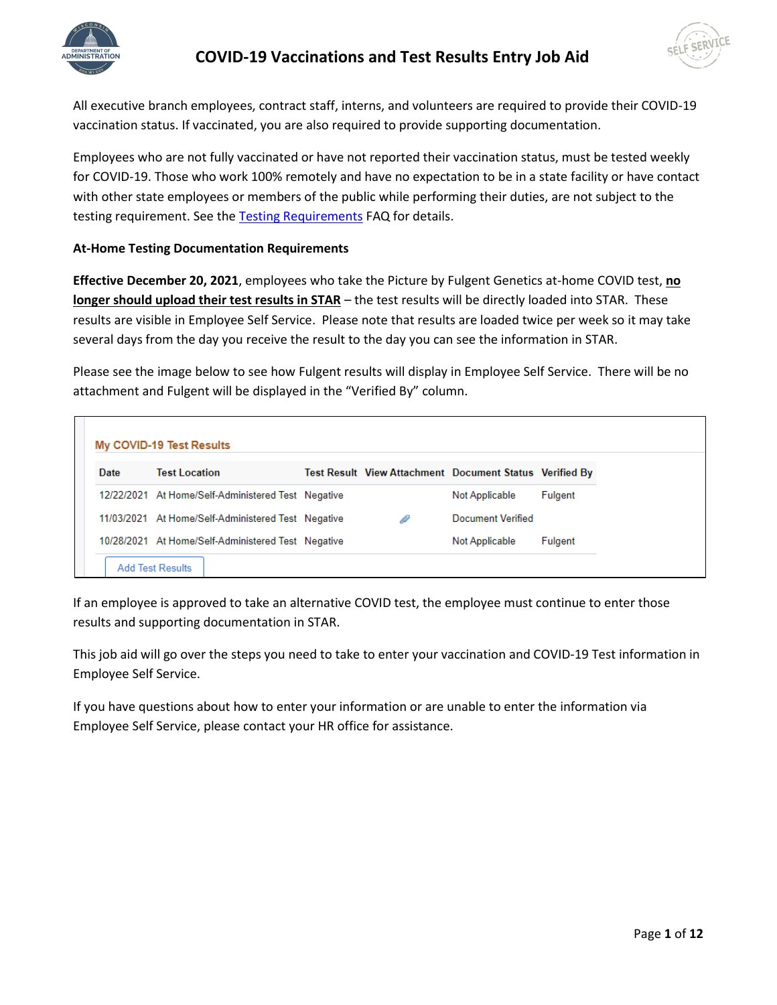



All executive branch employees, contract staff, interns, and volunteers are required to provide their COVID-19 vaccination status. If vaccinated, you are also required to provide supporting documentation.

Employees who are not fully vaccinated or have not reported their vaccination status, must be tested weekly for COVID-19. Those who work 100% remotely and have no expectation to be in a state facility or have contact with other state employees or members of the public while performing their duties, are not subject to the testing requirement. See the [Testing Requirements](https://dpm.wi.gov/Documents/COVID19_Vaccination_Testing_Requirements_FAQ.pdf) FAQ for details.

#### **At-Home Testing Documentation Requirements**

**Effective December 20, 2021**, employees who take the Picture by Fulgent Genetics at-home COVID test, **no longer should upload their test results in STAR** – the test results will be directly loaded into STAR. These results are visible in Employee Self Service. Please note that results are loaded twice per week so it may take several days from the day you receive the result to the day you can see the information in STAR.

Please see the image below to see how Fulgent results will display in Employee Self Service. There will be no attachment and Fulgent will be displayed in the "Verified By" column.

| My COVID-19 Test Results |                                                    |  |                                                         |                |
|--------------------------|----------------------------------------------------|--|---------------------------------------------------------|----------------|
| Date                     | <b>Test Location</b>                               |  | Test Result View Attachment Document Status Verified By |                |
|                          | 12/22/2021 At Home/Self-Administered Test Negative |  | Not Applicable                                          | <b>Fulgent</b> |
|                          | 11/03/2021 At Home/Self-Administered Test Negative |  | Document Verified                                       |                |
|                          | 10/28/2021 At Home/Self-Administered Test Negative |  | Not Applicable                                          | <b>Fulgent</b> |
|                          | <b>Add Test Results</b>                            |  |                                                         |                |

If an employee is approved to take an alternative COVID test, the employee must continue to enter those results and supporting documentation in STAR.

This job aid will go over the steps you need to take to enter your vaccination and COVID-19 Test information in Employee Self Service.

If you have questions about how to enter your information or are unable to enter the information via Employee Self Service, please contact your HR office for assistance.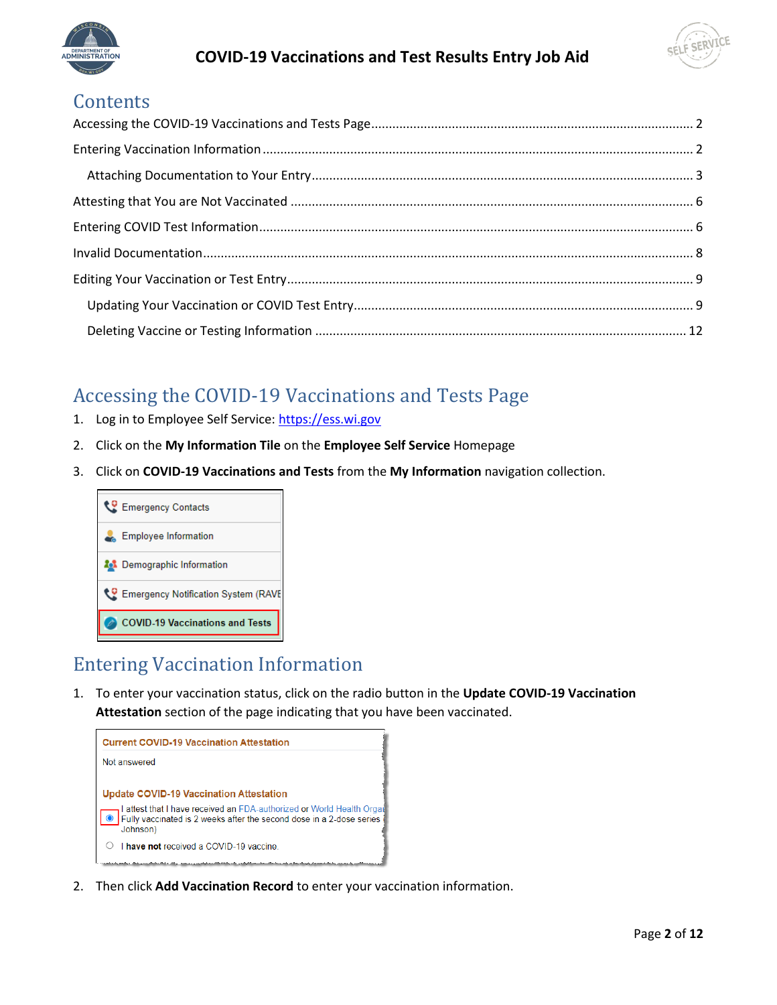



### **Contents**

## <span id="page-1-0"></span>Accessing the COVID-19 Vaccinations and Tests Page

- 1. Log in to Employee Self Service[: https://ess.wi.gov](https://ess.wi.gov/)
- 2. Click on the **My Information Tile** on the **Employee Self Service** Homepage
- 3. Click on **COVID-19 Vaccinations and Tests** from the **My Information** navigation collection.



### <span id="page-1-1"></span>Entering Vaccination Information

1. To enter your vaccination status, click on the radio button in the **Update COVID-19 Vaccination Attestation** section of the page indicating that you have been vaccinated.



2. Then click **Add Vaccination Record** to enter your vaccination information.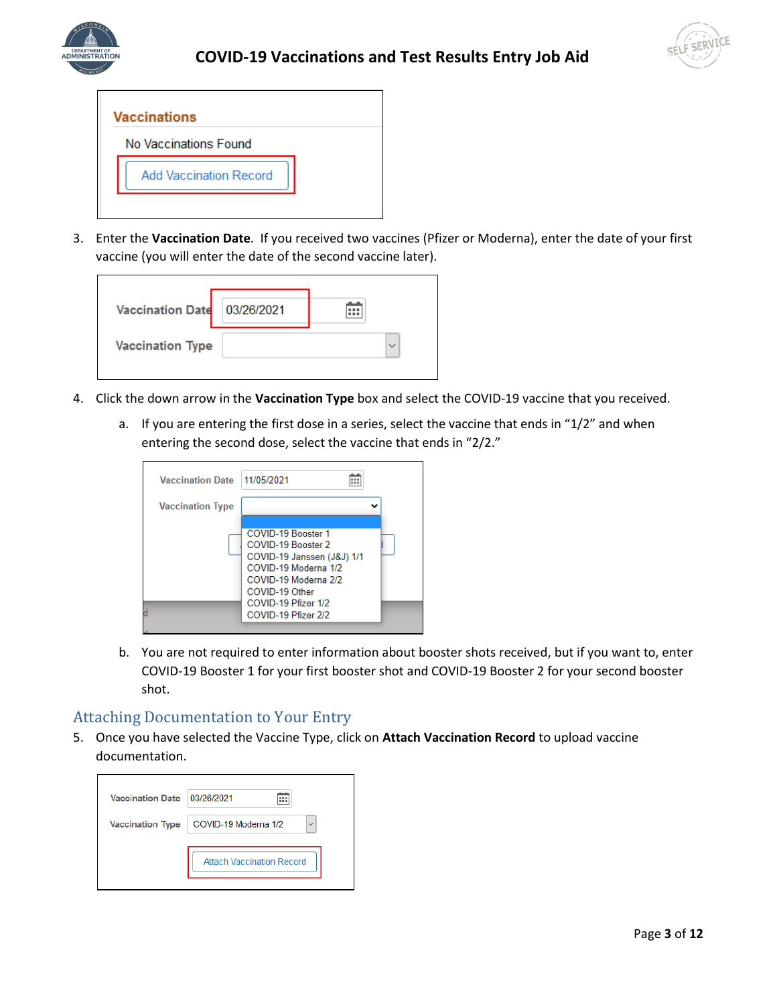





3. Enter the **Vaccination Date**. If you received two vaccines (Pfizer or Moderna), enter the date of your first vaccine (you will enter the date of the second vaccine later).

| <b>Vaccination Date</b> | 03/26/2021 | :::          |  |
|-------------------------|------------|--------------|--|
| <b>Vaccination Type</b> |            | $\checkmark$ |  |

- 4. Click the down arrow in the **Vaccination Type** box and select the COVID-19 vaccine that you received.
	- a. If you are entering the first dose in a series, select the vaccine that ends in "1/2" and when entering the second dose, select the vaccine that ends in "2/2."

| <b>Vaccination Date</b> | 11/05/2021                                                                                                                                                                             |  |
|-------------------------|----------------------------------------------------------------------------------------------------------------------------------------------------------------------------------------|--|
| <b>Vaccination Type</b> |                                                                                                                                                                                        |  |
|                         | COVID-19 Booster 1<br>COVID-19 Booster 2<br>COVID-19 Janssen (J&J) 1/1<br>COVID-19 Moderna 1/2<br>COVID-19 Moderna 2/2<br>COVID-19 Other<br>COVID-19 Pfizer 1/2<br>COVID-19 Pfizer 2/2 |  |

b. You are not required to enter information about booster shots received, but if you want to, enter COVID-19 Booster 1 for your first booster shot and COVID-19 Booster 2 for your second booster shot.

#### <span id="page-2-0"></span>Attaching Documentation to Your Entry

5. Once you have selected the Vaccine Type, click on **Attach Vaccination Record** to upload vaccine documentation.

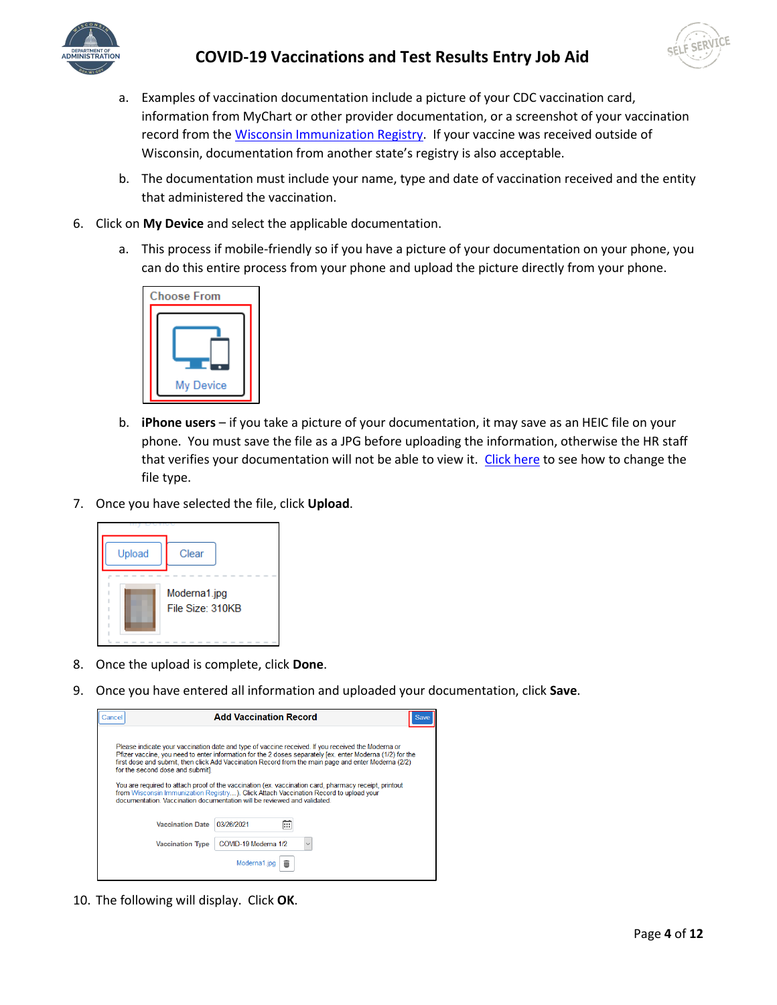



- a. Examples of vaccination documentation include a picture of your CDC vaccination card, information from MyChart or other provider documentation, or a screenshot of your vaccination record from the [Wisconsin Immunization Registry.](https://www.dhfswir.org/PR/clientSearch.do?language=en) If your vaccine was received outside of Wisconsin, documentation from another state's registry is also acceptable.
- b. The documentation must include your name, type and date of vaccination received and the entity that administered the vaccination.
- 6. Click on **My Device** and select the applicable documentation.
	- a. This process if mobile-friendly so if you have a picture of your documentation on your phone, you can do this entire process from your phone and upload the picture directly from your phone.



- b. **iPhone users** if you take a picture of your documentation, it may save as an HEIC file on your phone. You must save the file as a JPG before uploading the information, otherwise the HR staff that verifies your documentation will not be able to view it. [Click here](https://www.guidingtech.com/switch-from-heic-to-jpg-iphone/) to see how to change the file type.
- 7. Once you have selected the file, click **Upload**.



- 8. Once the upload is complete, click **Done**.
- 9. Once you have entered all information and uploaded your documentation, click **Save**.

| Cancel |                                                                                                              | <b>Add Vaccination Record</b> |   |                                                                                                                                                                                                                                                                                                                                                                                                                                                                                                                          | Sav |
|--------|--------------------------------------------------------------------------------------------------------------|-------------------------------|---|--------------------------------------------------------------------------------------------------------------------------------------------------------------------------------------------------------------------------------------------------------------------------------------------------------------------------------------------------------------------------------------------------------------------------------------------------------------------------------------------------------------------------|-----|
|        | for the second dose and submit].<br>documentation. Vaccination documentation will be reviewed and validated. |                               |   | Please indicate your vaccination date and type of vaccine received. If you received the Moderna or<br>Pfizer vaccine, you need to enter information for the 2 doses separately [ex. enter Moderna (1/2) for the<br>first dose and submit, then click Add Vaccination Record from the main page and enter Moderna (2/2)<br>You are required to attach proof of the vaccination (ex. vaccination card, pharmacy receipt, printout<br>from Wisconsin Immunization Registry). Click Attach Vaccination Record to upload your |     |
|        | <b>Vaccination Date</b>                                                                                      | 03/26/2021                    | m |                                                                                                                                                                                                                                                                                                                                                                                                                                                                                                                          |     |
|        | <b>Vaccination Type</b>                                                                                      | COVID-19 Moderna 1/2          |   |                                                                                                                                                                                                                                                                                                                                                                                                                                                                                                                          |     |
|        |                                                                                                              |                               |   |                                                                                                                                                                                                                                                                                                                                                                                                                                                                                                                          |     |

10. The following will display. Click **OK**.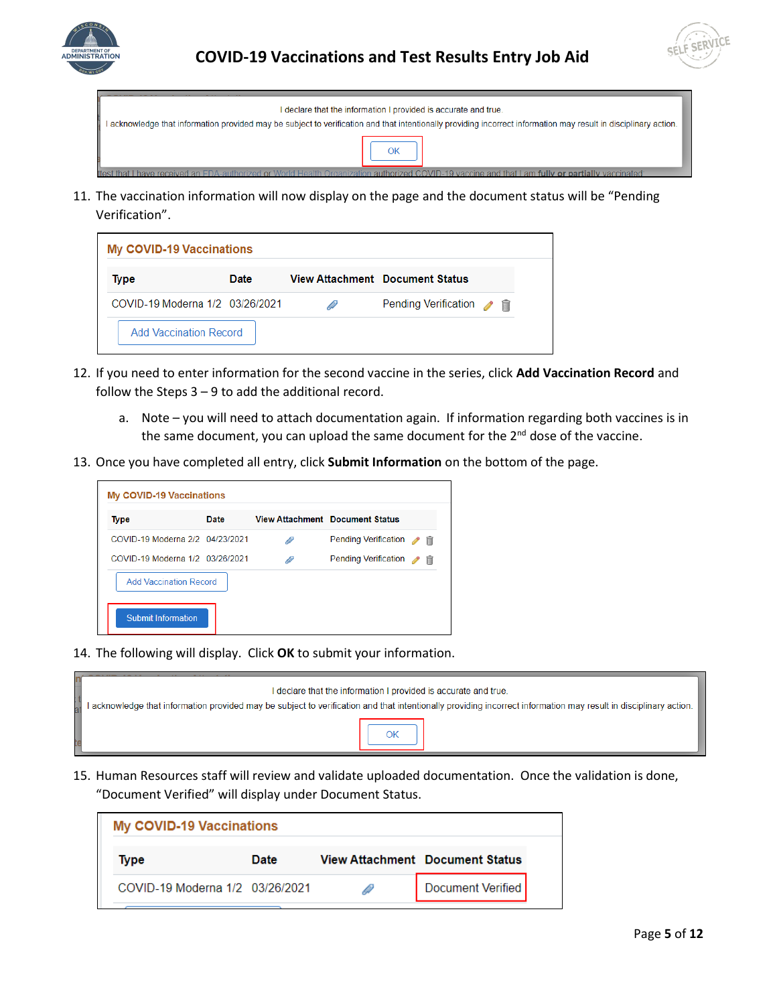



| I declare that the information I provided is accurate and true.                                                                                                  |
|------------------------------------------------------------------------------------------------------------------------------------------------------------------|
| l acknowledge that information provided may be subject to verification and that intentionally providing incorrect information may result in disciplinary action. |
|                                                                                                                                                                  |
| thest that I have received an EDA authorized or World Health Organization authorized COVID-19 vaccine and that Lam fully or nartially vaccinated:                |

11. The vaccination information will now display on the page and the document status will be "Pending Verification".

| <b>My COVID-19 Vaccinations</b> |             |   |                                        |  |
|---------------------------------|-------------|---|----------------------------------------|--|
| Type                            | <b>Date</b> |   | <b>View Attachment</b> Document Status |  |
| COVID-19 Moderna 1/2 03/26/2021 |             | D | Pending Verification / 自               |  |
| <b>Add Vaccination Record</b>   |             |   |                                        |  |

- 12. If you need to enter information for the second vaccine in the series, click **Add Vaccination Record** and follow the Steps  $3 - 9$  to add the additional record.
	- a. Note you will need to attach documentation again. If information regarding both vaccines is in the same document, you can upload the same document for the  $2^{nd}$  dose of the vaccine.
- 13. Once you have completed all entry, click **Submit Information** on the bottom of the page.



14. The following will display. Click **OK** to submit your information.

| I declare that the information I provided is accurate and true.<br>I acknowledge that information provided may be subject to verification and that intentionally providing incorrect information may result in disciplinary action. |
|-------------------------------------------------------------------------------------------------------------------------------------------------------------------------------------------------------------------------------------|
|                                                                                                                                                                                                                                     |

15. Human Resources staff will review and validate uploaded documentation. Once the validation is done, "Document Verified" will display under Document Status.

| <b>My COVID-19 Vaccinations</b> |      |                                        |
|---------------------------------|------|----------------------------------------|
| Type                            | Date | <b>View Attachment</b> Document Status |
| COVID-19 Moderna 1/2 03/26/2021 |      | Document Verified                      |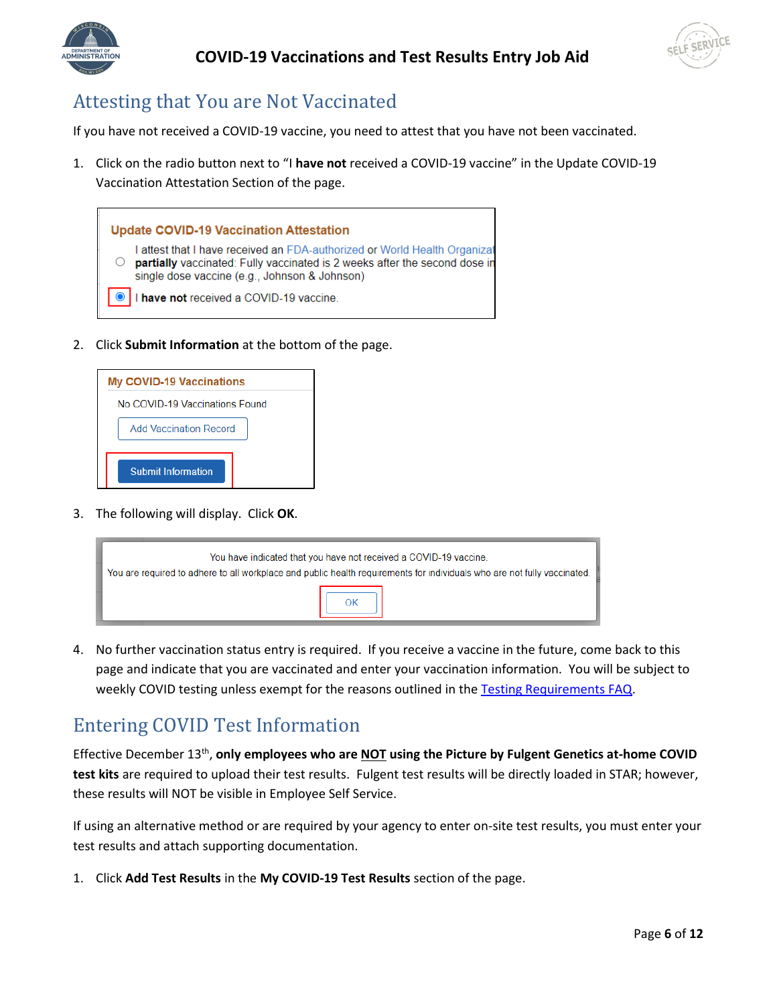



## <span id="page-5-0"></span>Attesting that You are Not Vaccinated

If you have not received a COVID-19 vaccine, you need to attest that you have not been vaccinated.

1. Click on the radio button next to "I **have not** received a COVID-19 vaccine" in the Update COVID-19 Vaccination Attestation Section of the page.



2. Click **Submit Information** at the bottom of the page.



3. The following will display. Click **OK**.

| You have indicated that you have not received a COVID-19 vaccine.<br>You are required to adhere to all workplace and public health requirements for individuals who are not fully vaccinated. |  |
|-----------------------------------------------------------------------------------------------------------------------------------------------------------------------------------------------|--|
|                                                                                                                                                                                               |  |

4. No further vaccination status entry is required. If you receive a vaccine in the future, come back to this page and indicate that you are vaccinated and enter your vaccination information. You will be subject to weekly COVID testing unless exempt for the reasons outlined in the [Testing Requirements FAQ.](https://dpm.wi.gov/Documents/COVID19_Vaccination_Testing_Requirements.pdf)

### <span id="page-5-1"></span>Entering COVID Test Information

Effective December 13<sup>th</sup>, only employees who are **NOT** using the Picture by Fulgent Genetics at-home COVID **test kits** are required to upload their test results. Fulgent test results will be directly loaded in STAR; however, these results will NOT be visible in Employee Self Service.

If using an alternative method or are required by your agency to enter on-site test results, you must enter your test results and attach supporting documentation.

1. Click **Add Test Results** in the **My COVID-19 Test Results** section of the page.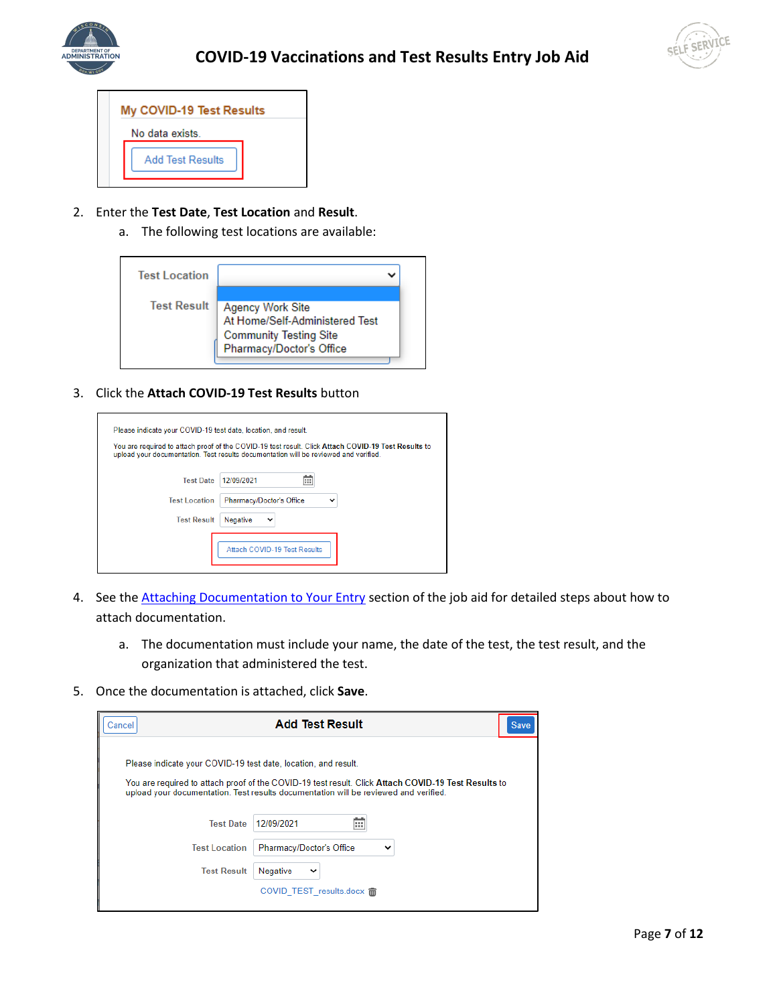



| My COVID-19 Test Results |
|--------------------------|
| No data exists.          |
| <b>Add Test Results</b>  |

- 2. Enter the **Test Date**, **Test Location** and **Result**.
	- a. The following test locations are available:

| <b>Test Location</b> |                                                                                                                 |
|----------------------|-----------------------------------------------------------------------------------------------------------------|
| <b>Test Result</b>   | Agency Work Site<br>At Home/Self-Administered Test<br><b>Community Testing Site</b><br>Pharmacy/Doctor's Office |

3. Click the **Attach COVID-19 Test Results** button

| Please indicate your COVID-19 test date, location, and result. |                                                                                                                                                                                             |
|----------------------------------------------------------------|---------------------------------------------------------------------------------------------------------------------------------------------------------------------------------------------|
|                                                                | You are required to attach proof of the COVID-19 test result. Click Attach COVID-19 Test Results to<br>upload your documentation. Test results documentation will be reviewed and verified. |
| <b>Test Date</b>                                               | 12/09/2021<br>ш                                                                                                                                                                             |
| <b>Test Location</b>                                           | Pharmacy/Doctor's Office<br>$\check{ }$                                                                                                                                                     |
| <b>Test Result</b>                                             | Negative<br>$\check{ }$                                                                                                                                                                     |
|                                                                | <b>Attach COVID-19 Test Results</b>                                                                                                                                                         |

- 4. See the **Attaching Documentation to Your Entry** section of the job aid for detailed steps about how to attach documentation.
	- a. The documentation must include your name, the date of the test, the test result, and the organization that administered the test.
- 5. Once the documentation is attached, click **Save**.

| Cancel                                                         | <b>Add Test Result</b><br><b>Save</b>                                                                                                                                                       |
|----------------------------------------------------------------|---------------------------------------------------------------------------------------------------------------------------------------------------------------------------------------------|
| Please indicate your COVID-19 test date, location, and result. | You are required to attach proof of the COVID-19 test result. Click Attach COVID-19 Test Results to<br>upload your documentation. Test results documentation will be reviewed and verified. |
| <b>Test Date</b>                                               | 12/09/2021<br>m                                                                                                                                                                             |
| <b>Test Location</b>                                           | Pharmacy/Doctor's Office<br>$\check{ }$                                                                                                                                                     |
| <b>Test Result</b>                                             | Negative<br>$\check{ }$                                                                                                                                                                     |
|                                                                | COVID TEST results.docx m                                                                                                                                                                   |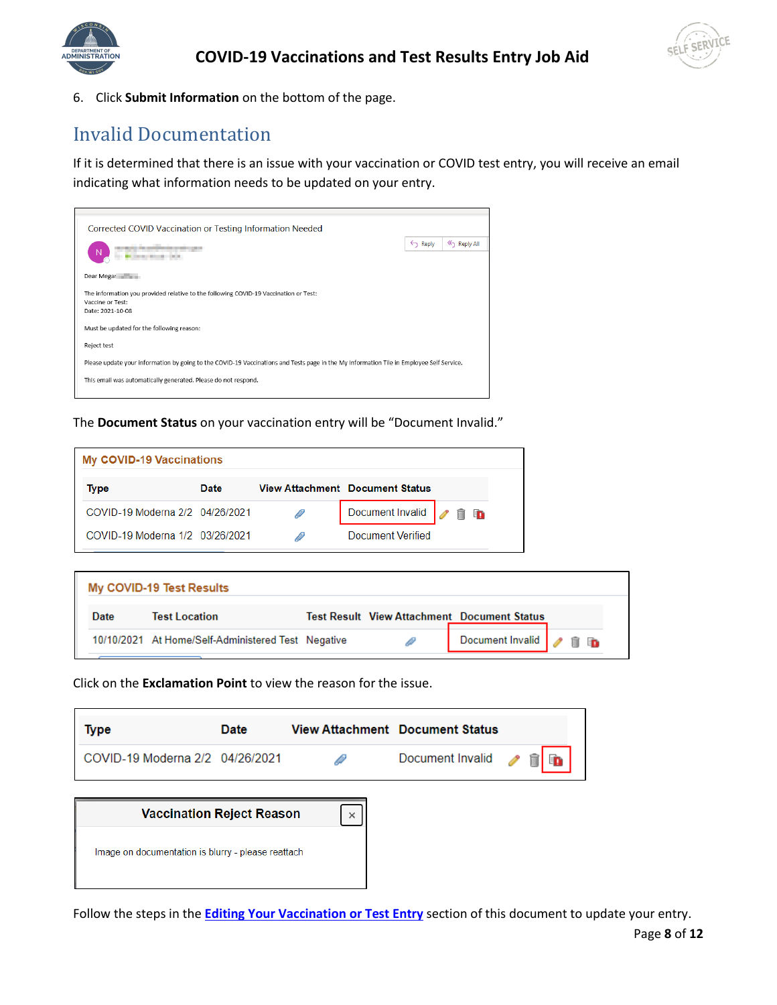



6. Click **Submit Information** on the bottom of the page.

## <span id="page-7-0"></span>Invalid Documentation

If it is determined that there is an issue with your vaccination or COVID test entry, you will receive an email indicating what information needs to be updated on your entry.



The **Document Status** on your vaccination entry will be "Document Invalid."

| <b>My COVID-19 Vaccinations</b> |      |                                        |    |
|---------------------------------|------|----------------------------------------|----|
| Type                            | Date | <b>View Attachment Document Status</b> |    |
| COVID-19 Moderna 2/2 04/26/2021 |      | Document Invalid                       | 18 |
| COVID-19 Moderna 1/2 03/26/2021 |      | <b>Document Verified</b>               |    |

|      | My COVID-19 Test Results                           |  |                                                    |  |
|------|----------------------------------------------------|--|----------------------------------------------------|--|
| Date | <b>Test Location</b>                               |  | <b>Test Result View Attachment Document Status</b> |  |
|      | 10/10/2021 At Home/Self-Administered Test Negative |  | Document Invalid <b>1</b> 1 <b>1</b>               |  |

Click on the **Exclamation Point** to view the reason for the issue.

| Type                            | Date | <b>View Attachment</b> Document Status |  |
|---------------------------------|------|----------------------------------------|--|
| COVID-19 Moderna 2/2 04/26/2021 |      | Document Invalid / 自由                  |  |
|                                 |      |                                        |  |



Follow the steps in the **[Editing Your Vaccination](#page-8-0) or Test Entry** section of this document to update your entry.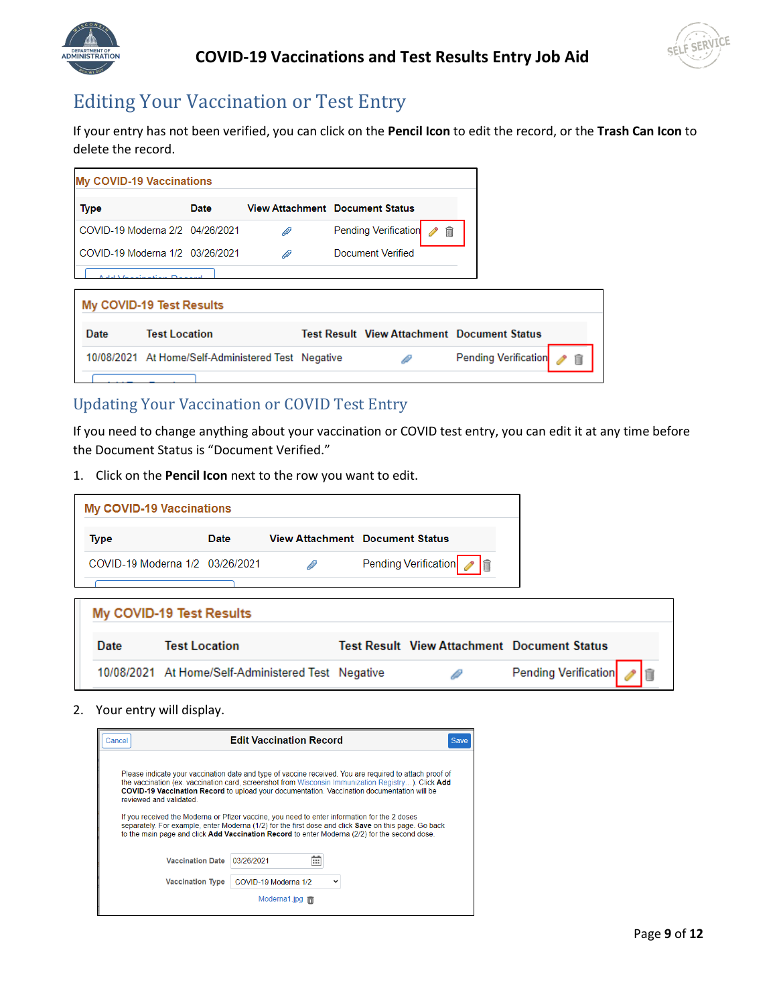



# <span id="page-8-0"></span>Editing Your Vaccination or Test Entry

If your entry has not been verified, you can click on the **Pencil Icon** to edit the record, or the **Trash Can Icon** to delete the record.

| <b>My COVID-19 Vaccinations</b> |                      |                                                    |   |  |                                        |        |                                                    |  |
|---------------------------------|----------------------|----------------------------------------------------|---|--|----------------------------------------|--------|----------------------------------------------------|--|
| <b>Type</b>                     |                      | Date                                               |   |  | <b>View Attachment Document Status</b> |        |                                                    |  |
|                                 |                      | COVID-19 Moderna 2/2 04/26/2021                    | D |  | <b>Pending Verification</b>            | 扁<br>P |                                                    |  |
|                                 |                      | COVID-19 Moderna 1/2 03/26/2021                    | ₽ |  | Document Verified                      |        |                                                    |  |
|                                 |                      |                                                    |   |  |                                        |        |                                                    |  |
| My COVID-19 Test Results        |                      |                                                    |   |  |                                        |        |                                                    |  |
| Date                            | <b>Test Location</b> |                                                    |   |  |                                        |        | <b>Test Result View Attachment Document Status</b> |  |
|                                 |                      | 10/08/2021 At Home/Self-Administered Test Negative |   |  |                                        |        | <b>Pending Verification</b>                        |  |
|                                 |                      |                                                    |   |  |                                        |        |                                                    |  |

#### <span id="page-8-1"></span>Updating Your Vaccination or COVID Test Entry

If you need to change anything about your vaccination or COVID test entry, you can edit it at any time before the Document Status is "Document Verified."

1. Click on the **Pencil Icon** next to the row you want to edit.

| <b>My COVID-19 Vaccinations</b> |      |   |                                        |
|---------------------------------|------|---|----------------------------------------|
| Type                            | Date |   | <b>View Attachment</b> Document Status |
| COVID-19 Moderna 1/2 03/26/2021 |      | D | Pending Verification / 自               |
|                                 |      |   |                                        |

|      | My COVID-19 Test Results                           |   |                                                    |
|------|----------------------------------------------------|---|----------------------------------------------------|
| Date | <b>Test Location</b>                               |   | <b>Test Result View Attachment Document Status</b> |
|      | 10/08/2021 At Home/Self-Administered Test Negative | D | Pending Verification /                             |

2. Your entry will display.

| Cancel                  | <b>Edit Vaccination Record</b>                                                                                                                                                                                                                                                                                                                                                                                                                                                                                                                                                                                               | Save |
|-------------------------|------------------------------------------------------------------------------------------------------------------------------------------------------------------------------------------------------------------------------------------------------------------------------------------------------------------------------------------------------------------------------------------------------------------------------------------------------------------------------------------------------------------------------------------------------------------------------------------------------------------------------|------|
| reviewed and validated  | Please indicate your vaccination date and type of vaccine received. You are required to attach proof of<br>the vaccination (ex. vaccination card, screenshot from Wisconsin Immunization Registry). Click Add<br><b>COVID-19 Vaccination Record</b> to upload your documentation. Vaccination documentation will be<br>If you received the Moderna or Pfizer vaccine, you need to enter information for the 2 doses<br>separately. For example, enter Moderna (1/2) for the first dose and click Save on this page. Go back<br>to the main page and click Add Vaccination Record to enter Moderna (2/2) for the second dose. |      |
| <b>Vaccination Date</b> | 03/26/2021<br>ш                                                                                                                                                                                                                                                                                                                                                                                                                                                                                                                                                                                                              |      |
| <b>Vaccination Type</b> | COVID-19 Moderna 1/2                                                                                                                                                                                                                                                                                                                                                                                                                                                                                                                                                                                                         |      |
|                         | Moderna1.jpg $\overline{m}$                                                                                                                                                                                                                                                                                                                                                                                                                                                                                                                                                                                                  |      |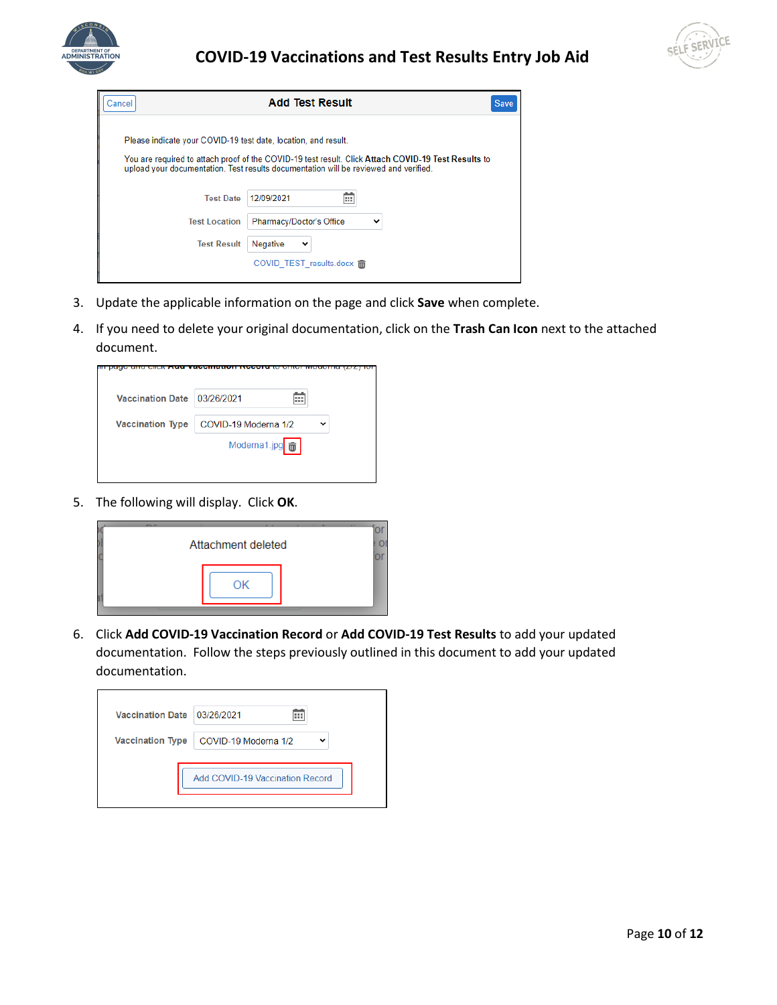



| Cancel                                                         | <b>Add Test Result</b><br><b>Save</b>                                                                                                                                                       |
|----------------------------------------------------------------|---------------------------------------------------------------------------------------------------------------------------------------------------------------------------------------------|
| Please indicate your COVID-19 test date, location, and result. | You are required to attach proof of the COVID-19 test result. Click Attach COVID-19 Test Results to<br>upload your documentation. Test results documentation will be reviewed and verified. |
| <b>Test Date</b>                                               | 12/09/2021<br>m                                                                                                                                                                             |
| <b>Test Location</b>                                           | Pharmacy/Doctor's Office<br>v                                                                                                                                                               |
| <b>Test Result</b>                                             | Negative<br>$\check{ }$                                                                                                                                                                     |
|                                                                | COVID TEST results.docx m                                                                                                                                                                   |

- 3. Update the applicable information on the page and click **Save** when complete.
- 4. If you need to delete your original documentation, click on the **Trash Can Icon** next to the attached document.

| <b>Vaccination Type</b><br>COVID-19 Moderna 1/2 | <b>Vaccination Date</b> | 03/26/2021<br>ш |  |
|-------------------------------------------------|-------------------------|-----------------|--|
|                                                 |                         |                 |  |
|                                                 |                         |                 |  |

5. The following will display. Click **OK**.



6. Click **Add COVID-19 Vaccination Record** or **Add COVID-19 Test Results** to add your updated documentation. Follow the steps previously outlined in this document to add your updated documentation.

| <b>Vaccination Date</b> | 03/26/2021                      |
|-------------------------|---------------------------------|
| <b>Vaccination Type</b> | COVID-19 Moderna 1/2            |
|                         | Add COVID-19 Vaccination Record |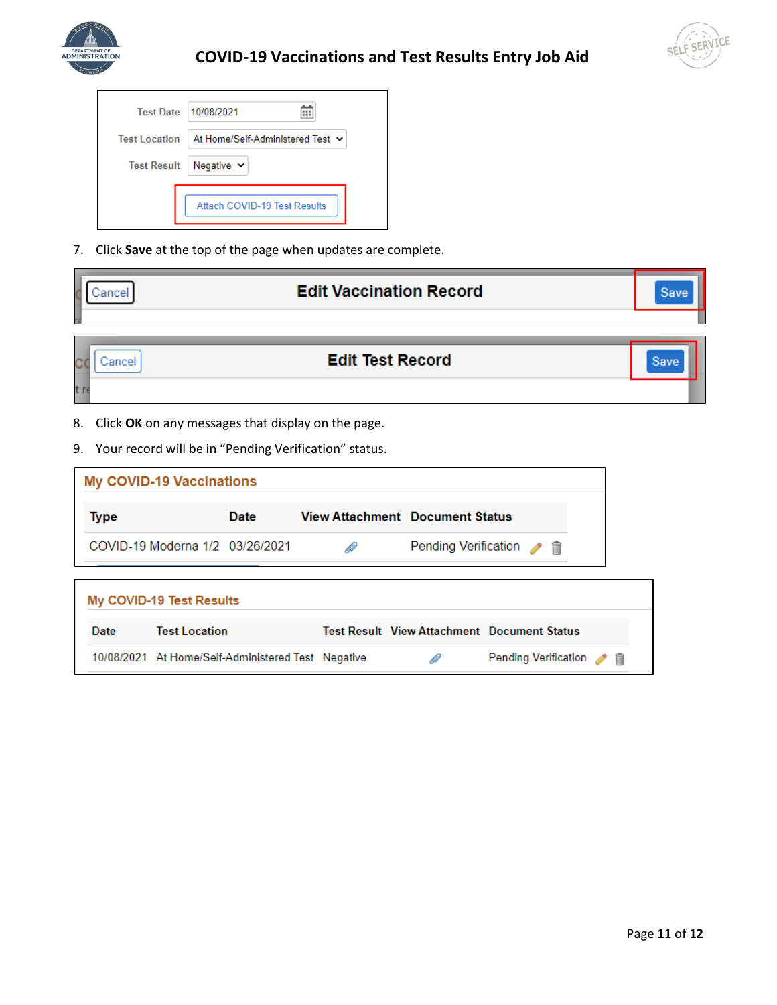



| <b>Test Date</b>     | 10/08/2021                       |
|----------------------|----------------------------------|
| <b>Test Location</b> | At Home/Self-Administered Test ↓ |
| <b>Test Result</b>   | Negative $\sim$                  |
|                      | Attach COVID-19 Test Results     |

7. Click **Save** at the top of the page when updates are complete.

| Cancel        |                                 |                                                                                                                |                         | <b>Edit Vaccination Record</b>         |                                                    | Save |
|---------------|---------------------------------|----------------------------------------------------------------------------------------------------------------|-------------------------|----------------------------------------|----------------------------------------------------|------|
| Cancel<br>t r |                                 |                                                                                                                | <b>Edit Test Record</b> |                                        |                                                    | Save |
| 8.            | <b>My COVID-19 Vaccinations</b> | Click OK on any messages that display on the page.<br>9. Your record will be in "Pending Verification" status. |                         |                                        |                                                    |      |
| <b>Type</b>   |                                 | Date                                                                                                           |                         | <b>View Attachment Document Status</b> |                                                    |      |
|               | COVID-19 Moderna 1/2 03/26/2021 |                                                                                                                | D                       | <b>Pending Verification</b>            | $\rightarrow$                                      |      |
|               | My COVID-19 Test Results        |                                                                                                                |                         |                                        |                                                    |      |
| Date          | <b>Test Location</b>            |                                                                                                                |                         |                                        | <b>Test Result View Attachment Document Status</b> |      |
|               |                                 | 10/08/2021 At Home/Self-Administered Test Negative                                                             |                         | D                                      | Pending Verification / 自                           |      |